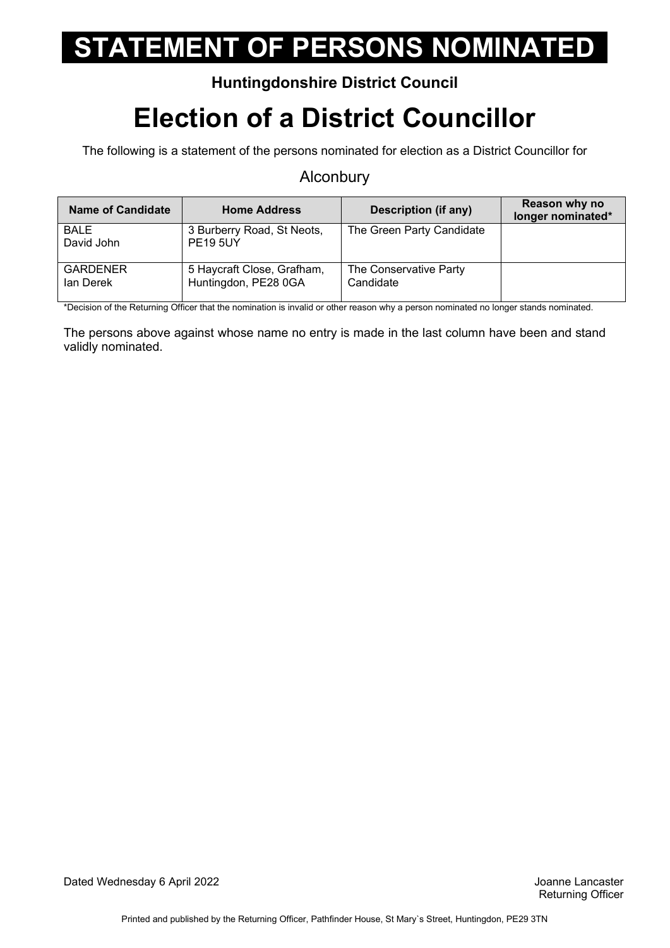#### **Huntingdonshire District Council**

### **Election of a District Councillor**

The following is a statement of the persons nominated for election as a District Councillor for

#### **Alconbury**

| <b>Name of Candidate</b>     | <b>Home Address</b>                                | Description (if any)                | Reason why no<br>longer nominated* |
|------------------------------|----------------------------------------------------|-------------------------------------|------------------------------------|
| <b>BALE</b><br>David John    | 3 Burberry Road, St Neots,<br><b>PE19 5UY</b>      | The Green Party Candidate           |                                    |
| <b>GARDENER</b><br>lan Derek | 5 Haycraft Close, Grafham,<br>Huntingdon, PE28 0GA | The Conservative Party<br>Candidate |                                    |

\*Decision of the Returning Officer that the nomination is invalid or other reason why a person nominated no longer stands nominated.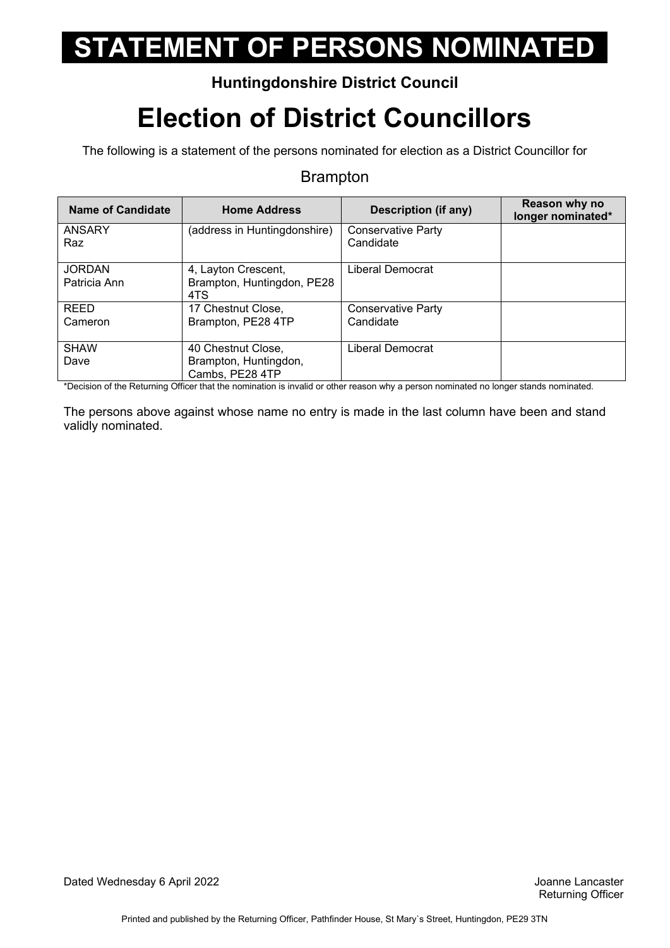### **Huntingdonshire District Council**

## **Election of District Councillors**

The following is a statement of the persons nominated for election as a District Councillor for

#### Brampton

| Name of Candidate             | <b>Home Address</b>                                            | Description (if any)            | Reason why no<br>longer nominated* |
|-------------------------------|----------------------------------------------------------------|---------------------------------|------------------------------------|
| <b>ANSARY</b><br>Raz          | (address in Huntingdonshire)                                   | Conservative Party<br>Candidate |                                    |
| <b>JORDAN</b><br>Patricia Ann | 4, Layton Crescent,<br>Brampton, Huntingdon, PE28<br>4TS       | Liberal Democrat                |                                    |
| <b>REED</b><br>Cameron        | 17 Chestnut Close,<br>Brampton, PE28 4TP                       | Conservative Party<br>Candidate |                                    |
| <b>SHAW</b><br>Dave           | 40 Chestnut Close,<br>Brampton, Huntingdon,<br>Cambs, PE28 4TP | Liberal Democrat                |                                    |

\*Decision of the Returning Officer that the nomination is invalid or other reason why a person nominated no longer stands nominated.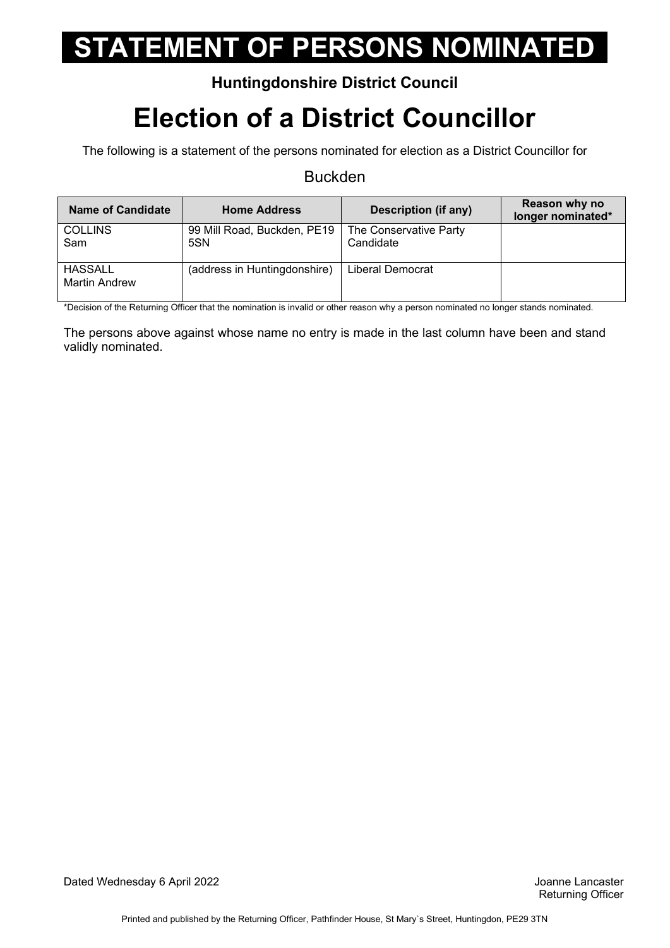#### **Huntingdonshire District Council**

## **Election of a District Councillor**

The following is a statement of the persons nominated for election as a District Councillor for

#### Buckden

| <b>Name of Candidate</b>               | <b>Home Address</b>                | Description (if any)                | Reason why no<br>longer nominated* |
|----------------------------------------|------------------------------------|-------------------------------------|------------------------------------|
| <b>COLLINS</b><br>Sam                  | 99 Mill Road, Buckden, PE19<br>5SN | The Conservative Party<br>Candidate |                                    |
| <b>HASSALL</b><br><b>Martin Andrew</b> | (address in Huntingdonshire)       | Liberal Democrat                    |                                    |

\*Decision of the Returning Officer that the nomination is invalid or other reason why a person nominated no longer stands nominated.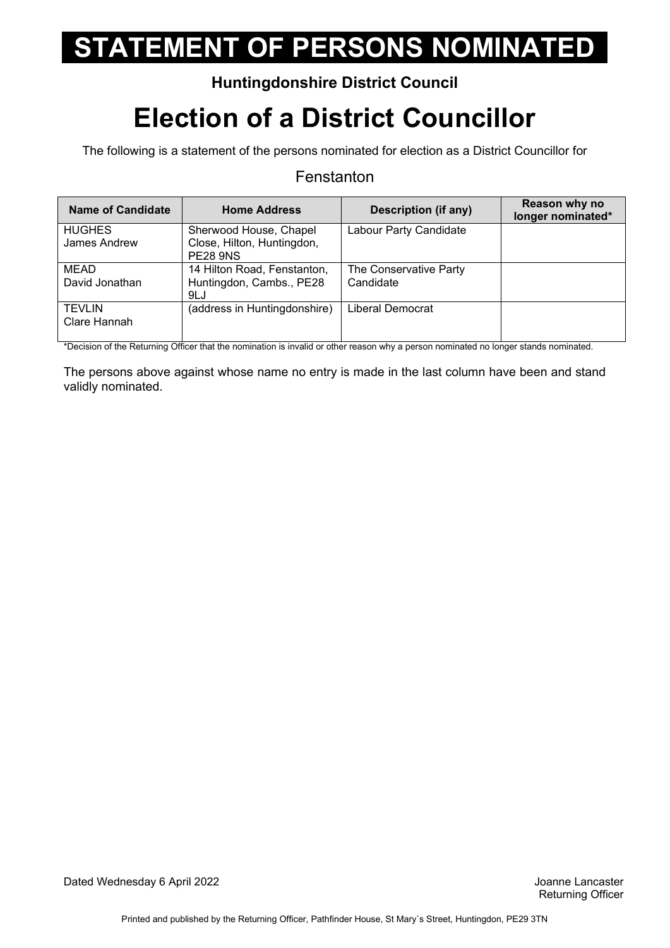### **Huntingdonshire District Council**

### **Election of a District Councillor**

The following is a statement of the persons nominated for election as a District Councillor for

#### Fenstanton

| <b>Name of Candidate</b>      | <b>Home Address</b>                                                     | <b>Description (if any)</b>         | Reason why no<br>longer nominated* |
|-------------------------------|-------------------------------------------------------------------------|-------------------------------------|------------------------------------|
| <b>HUGHES</b><br>James Andrew | Sherwood House, Chapel<br>Close, Hilton, Huntingdon,<br><b>PE28 9NS</b> | Labour Party Candidate              |                                    |
| <b>MEAD</b><br>David Jonathan | 14 Hilton Road, Fenstanton,<br>Huntingdon, Cambs., PE28<br>9LJ          | The Conservative Party<br>Candidate |                                    |
| <b>TEVLIN</b><br>Clare Hannah | (address in Huntingdonshire)                                            | Liberal Democrat                    |                                    |

\*Decision of the Returning Officer that the nomination is invalid or other reason why a person nominated no longer stands nominated.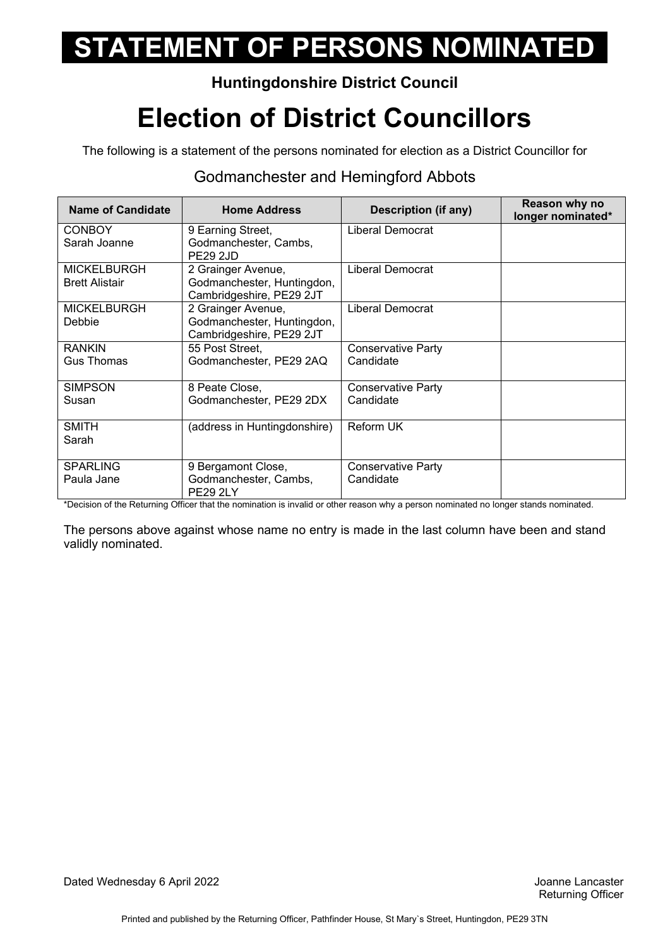### **Huntingdonshire District Council**

## **Election of District Councillors**

The following is a statement of the persons nominated for election as a District Councillor for

#### Godmanchester and Hemingford Abbots

| <b>Name of Candidate</b>                    | <b>Home Address</b>                                                          | <b>Description (if any)</b>            | Reason why no<br>longer nominated* |
|---------------------------------------------|------------------------------------------------------------------------------|----------------------------------------|------------------------------------|
| <b>CONBOY</b><br>Sarah Joanne               | 9 Earning Street,<br>Godmanchester, Cambs,<br><b>PE29 2JD</b>                | Liberal Democrat                       |                                    |
| <b>MICKELBURGH</b><br><b>Brett Alistair</b> | 2 Grainger Avenue,<br>Godmanchester, Huntingdon,<br>Cambridgeshire, PE29 2JT | Liberal Democrat                       |                                    |
| <b>MICKELBURGH</b><br>Debbie                | 2 Grainger Avenue,<br>Godmanchester, Huntingdon,<br>Cambridgeshire, PE29 2JT | Liberal Democrat                       |                                    |
| <b>RANKIN</b><br>Gus Thomas                 | 55 Post Street,<br>Godmanchester, PE29 2AQ                                   | <b>Conservative Party</b><br>Candidate |                                    |
| <b>SIMPSON</b><br>Susan                     | 8 Peate Close,<br>Godmanchester, PE29 2DX                                    | <b>Conservative Party</b><br>Candidate |                                    |
| <b>SMITH</b><br>Sarah                       | (address in Huntingdonshire)                                                 | <b>Reform UK</b>                       |                                    |
| <b>SPARLING</b><br>Paula Jane               | 9 Bergamont Close,<br>Godmanchester, Cambs,<br><b>PE29 2LY</b>               | Conservative Party<br>Candidate        |                                    |

\*Decision of the Returning Officer that the nomination is invalid or other reason why a person nominated no longer stands nominated.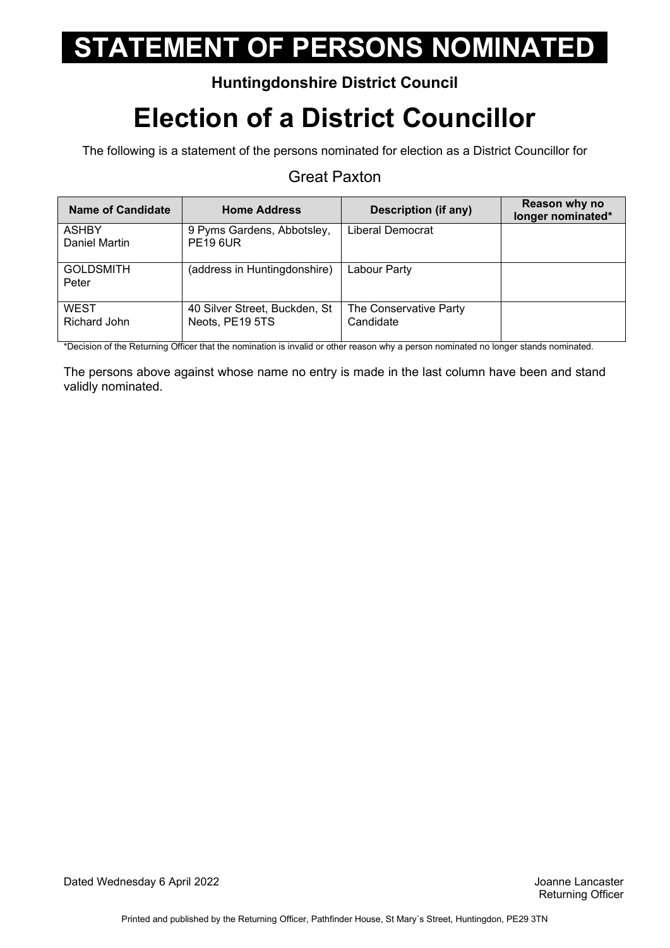#### **Huntingdonshire District Council**

## **Election of a District Councillor**

The following is a statement of the persons nominated for election as a District Councillor for

#### Great Paxton

| Name of Candidate             | <b>Home Address</b>                              | Description (if any)                | Reason why no<br>longer nominated* |
|-------------------------------|--------------------------------------------------|-------------------------------------|------------------------------------|
| <b>ASHBY</b><br>Daniel Martin | 9 Pyms Gardens, Abbotsley,<br><b>PE19 6UR</b>    | Liberal Democrat                    |                                    |
| <b>GOLDSMITH</b><br>Peter     | (address in Huntingdonshire)                     | Labour Party                        |                                    |
| <b>WEST</b><br>Richard John   | 40 Silver Street, Buckden, St<br>Neots, PE19 5TS | The Conservative Party<br>Candidate |                                    |

\*Decision of the Returning Officer that the nomination is invalid or other reason why a person nominated no longer stands nominated.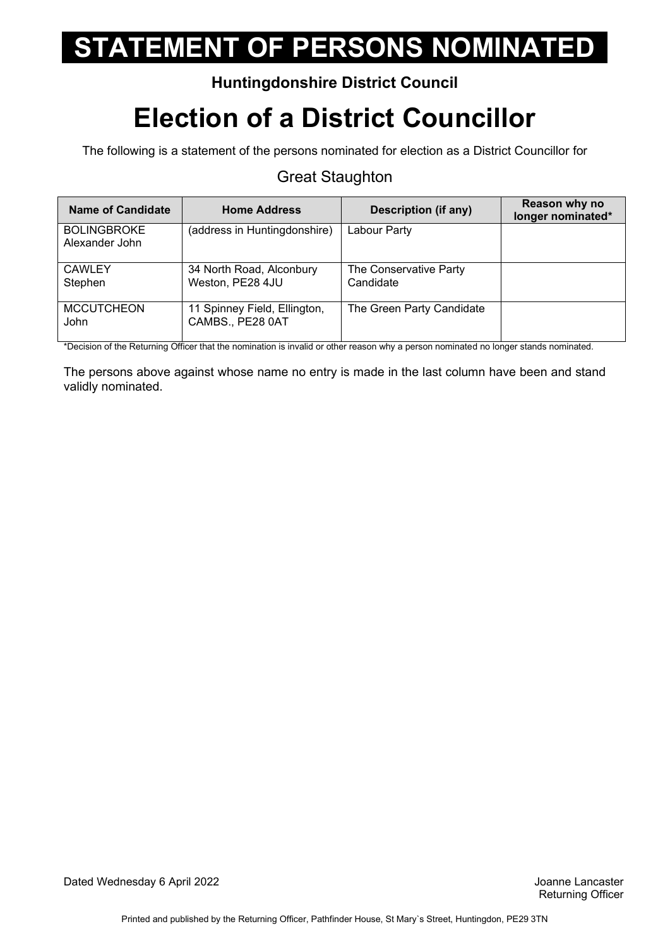#### **Huntingdonshire District Council**

## **Election of a District Councillor**

The following is a statement of the persons nominated for election as a District Councillor for

#### Great Staughton

| Name of Candidate                    | <b>Home Address</b>                              | Description (if any)                | Reason why no<br>longer nominated* |
|--------------------------------------|--------------------------------------------------|-------------------------------------|------------------------------------|
| <b>BOLINGBROKE</b><br>Alexander John | (address in Huntingdonshire)                     | Labour Party                        |                                    |
| <b>CAWLEY</b><br>Stephen             | 34 North Road, Alconbury<br>Weston, PE28 4JU     | The Conservative Party<br>Candidate |                                    |
| <b>MCCUTCHEON</b><br><b>John</b>     | 11 Spinney Field, Ellington,<br>CAMBS., PE28 0AT | The Green Party Candidate           |                                    |

\*Decision of the Returning Officer that the nomination is invalid or other reason why a person nominated no longer stands nominated.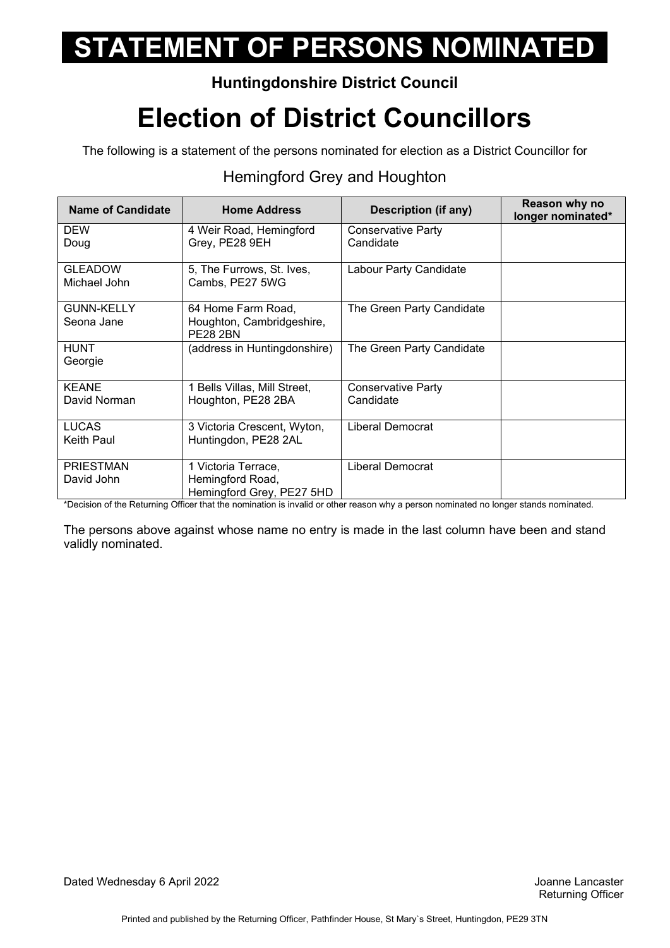### **Huntingdonshire District Council**

## **Election of District Councillors**

The following is a statement of the persons nominated for election as a District Councillor for

### Hemingford Grey and Houghton

| <b>Name of Candidate</b>        | <b>Home Address</b>                                                  | <b>Description (if any)</b>            | Reason why no<br>longer nominated* |
|---------------------------------|----------------------------------------------------------------------|----------------------------------------|------------------------------------|
| <b>DEW</b><br>Doug              | 4 Weir Road, Hemingford<br>Grey, PE28 9EH                            | <b>Conservative Party</b><br>Candidate |                                    |
| <b>GLEADOW</b><br>Michael John  | 5, The Furrows, St. Ives,<br>Cambs, PE27 5WG                         | Labour Party Candidate                 |                                    |
| <b>GUNN-KELLY</b><br>Seona Jane | 64 Home Farm Road,<br>Houghton, Cambridgeshire,<br><b>PE28 2BN</b>   | The Green Party Candidate              |                                    |
| <b>HUNT</b><br>Georgie          | (address in Huntingdonshire)                                         | The Green Party Candidate              |                                    |
| <b>KEANE</b><br>David Norman    | 1 Bells Villas, Mill Street,<br>Houghton, PE28 2BA                   | <b>Conservative Party</b><br>Candidate |                                    |
| <b>LUCAS</b><br>Keith Paul      | 3 Victoria Crescent, Wyton,<br>Huntingdon, PE28 2AL                  | <b>Liberal Democrat</b>                |                                    |
| <b>PRIESTMAN</b><br>David John  | 1 Victoria Terrace,<br>Hemingford Road,<br>Hemingford Grey, PE27 5HD | Liberal Democrat                       |                                    |

\*Decision of the Returning Officer that the nomination is invalid or other reason why a person nominated no longer stands nominated.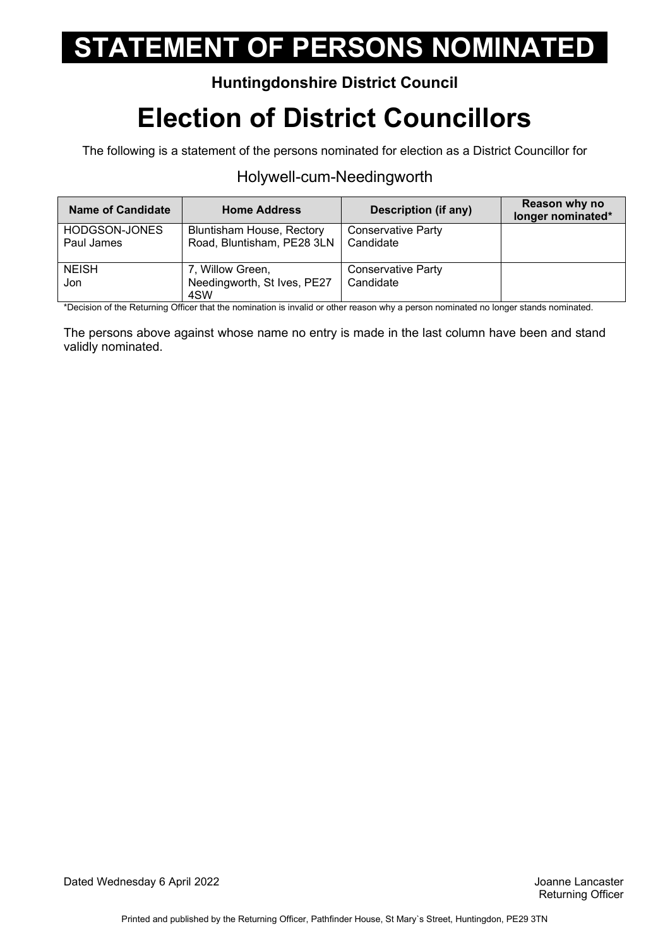### **Huntingdonshire District Council**

## **Election of District Councillors**

The following is a statement of the persons nominated for election as a District Councillor for

#### Holywell-cum-Needingworth

| <b>Name of Candidate</b>    | <b>Home Address</b>                                            | <b>Description (if any)</b>     | Reason why no<br>longer nominated* |
|-----------------------------|----------------------------------------------------------------|---------------------------------|------------------------------------|
| HODGSON-JONES<br>Paul James | <b>Bluntisham House, Rectory</b><br>Road, Bluntisham, PE28 3LN | Conservative Party<br>Candidate |                                    |
| <b>NEISH</b><br>Jon         | 7, Willow Green,<br>Needingworth, St Ives, PE27<br>4SW         | Conservative Party<br>Candidate |                                    |

\*Decision of the Returning Officer that the nomination is invalid or other reason why a person nominated no longer stands nominated.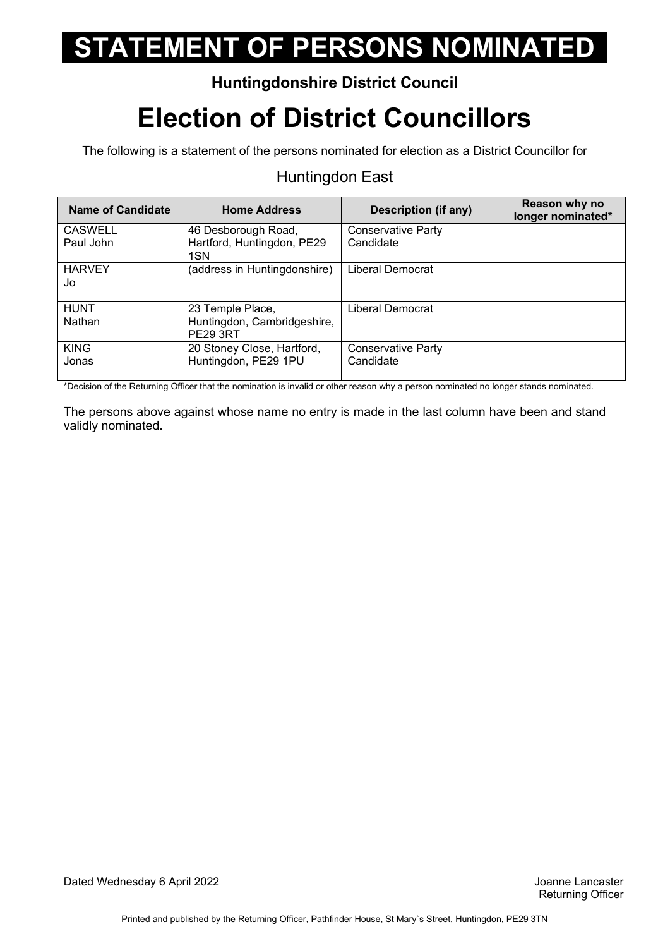### **Huntingdonshire District Council**

## **Election of District Councillors**

The following is a statement of the persons nominated for election as a District Councillor for

#### Huntingdon East

| Name of Candidate           | <b>Home Address</b>                               | <b>Description (if any)</b>            | Reason why no<br>longer nominated* |
|-----------------------------|---------------------------------------------------|----------------------------------------|------------------------------------|
| <b>CASWELL</b><br>Paul John | 46 Desborough Road,<br>Hartford, Huntingdon, PE29 | <b>Conservative Party</b><br>Candidate |                                    |
|                             | 1SN                                               |                                        |                                    |
| <b>HARVEY</b><br>Jo         | (address in Huntingdonshire)                      | Liberal Democrat                       |                                    |
| <b>HUNT</b>                 | 23 Temple Place,                                  | Liberal Democrat                       |                                    |
| Nathan                      | Huntingdon, Cambridgeshire,<br><b>PE29 3RT</b>    |                                        |                                    |
| <b>KING</b>                 | 20 Stoney Close, Hartford,                        | <b>Conservative Party</b>              |                                    |
| Jonas                       | Huntingdon, PE29 1PU                              | Candidate                              |                                    |

\*Decision of the Returning Officer that the nomination is invalid or other reason why a person nominated no longer stands nominated.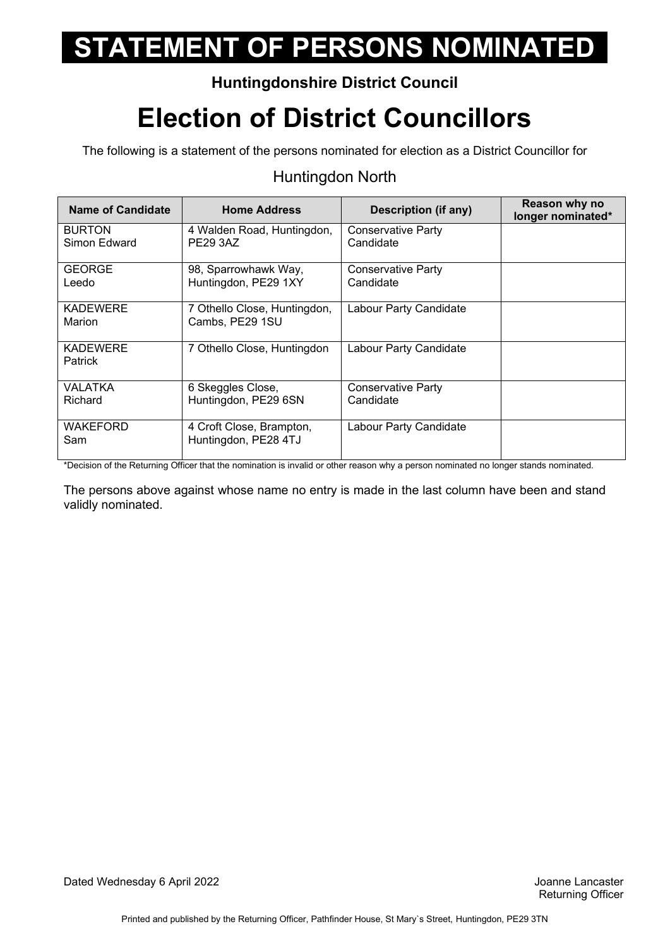### **Huntingdonshire District Council**

## **Election of District Councillors**

The following is a statement of the persons nominated for election as a District Councillor for

#### Huntingdon North

| Name of Candidate                 | <b>Home Address</b>                              | <b>Description (if any)</b>            | Reason why no<br>longer nominated* |
|-----------------------------------|--------------------------------------------------|----------------------------------------|------------------------------------|
| <b>BURTON</b><br>Simon Edward     | 4 Walden Road, Huntingdon,<br><b>PE29 3AZ</b>    | <b>Conservative Party</b><br>Candidate |                                    |
| <b>GEORGE</b><br>Leedo            | 98, Sparrowhawk Way,<br>Huntingdon, PE29 1XY     | Conservative Party<br>Candidate        |                                    |
| <b>KADEWERE</b><br>Marion         | 7 Othello Close, Huntingdon,<br>Cambs, PE29 1SU  | Labour Party Candidate                 |                                    |
| <b>KADEWERE</b><br><b>Patrick</b> | 7 Othello Close, Huntingdon                      | Labour Party Candidate                 |                                    |
| VALATKA<br>Richard                | 6 Skeggles Close,<br>Huntingdon, PE29 6SN        | Conservative Party<br>Candidate        |                                    |
| <b>WAKEFORD</b><br>Sam            | 4 Croft Close, Brampton,<br>Huntingdon, PE28 4TJ | Labour Party Candidate                 |                                    |

\*Decision of the Returning Officer that the nomination is invalid or other reason why a person nominated no longer stands nominated.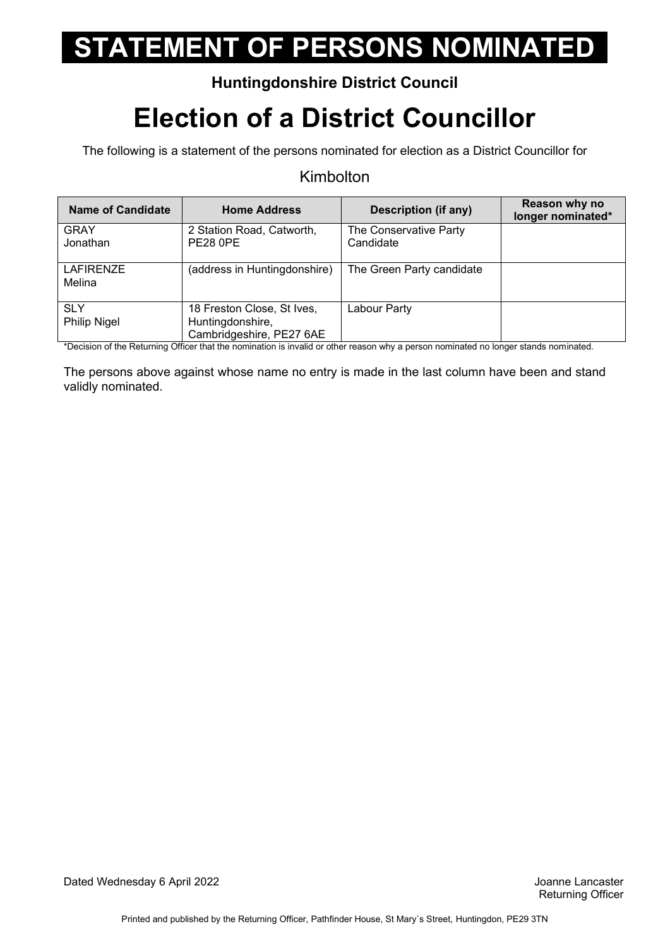### **Huntingdonshire District Council**

## **Election of a District Councillor**

The following is a statement of the persons nominated for election as a District Councillor for

#### Kimbolton

| Name of Candidate                 | <b>Home Address</b>                                                        | Description (if any)                | Reason why no<br>longer nominated* |
|-----------------------------------|----------------------------------------------------------------------------|-------------------------------------|------------------------------------|
| <b>GRAY</b><br>Jonathan           | 2 Station Road, Catworth,<br><b>PE28 0PE</b>                               | The Conservative Party<br>Candidate |                                    |
| <b>LAFIRENZE</b><br>Melina        | (address in Huntingdonshire)                                               | The Green Party candidate           |                                    |
| <b>SLY</b><br><b>Philip Nigel</b> | 18 Freston Close, St Ives,<br>Huntingdonshire,<br>Cambridgeshire, PE27 6AE | Labour Party                        |                                    |

\*Decision of the Returning Officer that the nomination is invalid or other reason why a person nominated no longer stands nominated.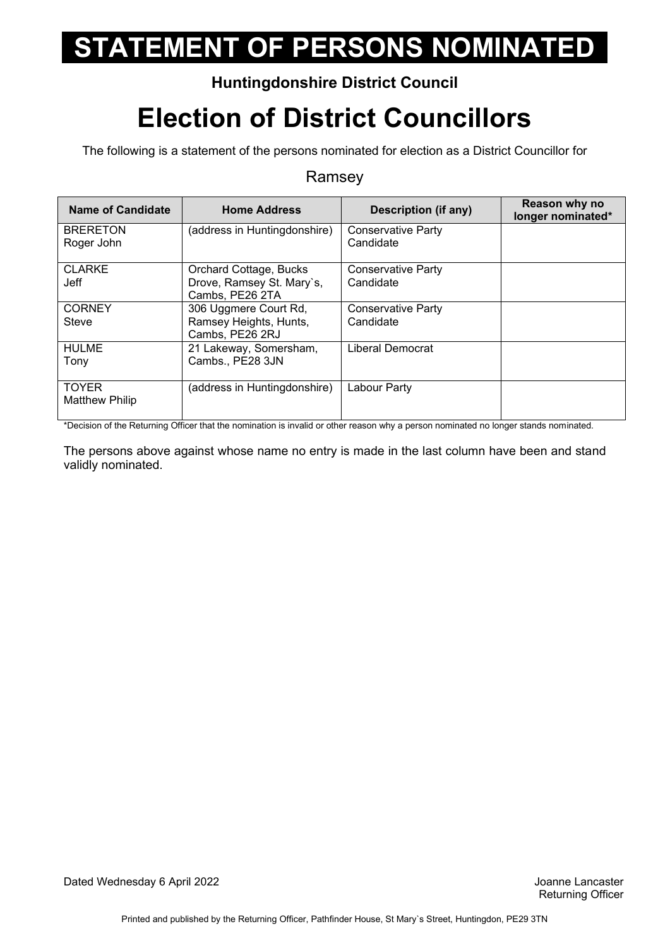### **Huntingdonshire District Council**

## **Election of District Councillors**

The following is a statement of the persons nominated for election as a District Councillor for

#### Ramsey

| <b>Name of Candidate</b>              | <b>Home Address</b>                                                    | Description (if any)                   | Reason why no<br>longer nominated* |
|---------------------------------------|------------------------------------------------------------------------|----------------------------------------|------------------------------------|
| <b>BRERETON</b><br>Roger John         | (address in Huntingdonshire)                                           | <b>Conservative Party</b><br>Candidate |                                    |
| <b>CLARKE</b><br>Jeff                 | Orchard Cottage, Bucks<br>Drove, Ramsey St. Mary's,<br>Cambs, PE26 2TA | <b>Conservative Party</b><br>Candidate |                                    |
| <b>CORNEY</b><br>Steve                | 306 Uggmere Court Rd,<br>Ramsey Heights, Hunts,<br>Cambs, PE26 2RJ     | <b>Conservative Party</b><br>Candidate |                                    |
| <b>HULME</b><br>Tony                  | 21 Lakeway, Somersham,<br>Cambs., PE28 3JN                             | Liberal Democrat                       |                                    |
| <b>TOYER</b><br><b>Matthew Philip</b> | (address in Huntingdonshire)                                           | Labour Party                           |                                    |

\*Decision of the Returning Officer that the nomination is invalid or other reason why a person nominated no longer stands nominated.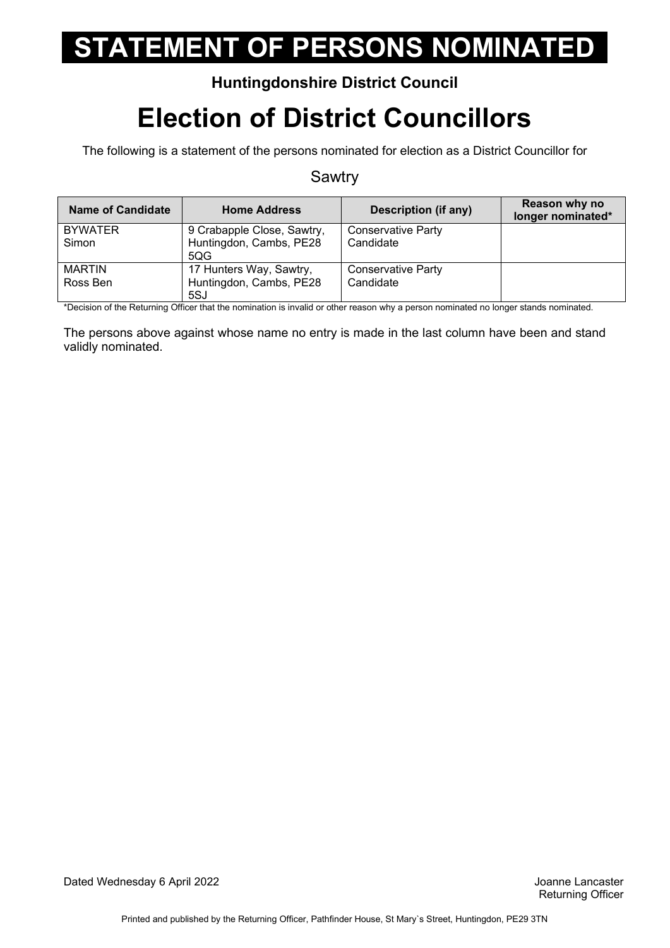### **Huntingdonshire District Council**

## **Election of District Councillors**

The following is a statement of the persons nominated for election as a District Councillor for

#### Sawtry

| <b>Name of Candidate</b> | <b>Home Address</b>            | <b>Description (if any)</b> | Reason why no<br>longer nominated* |
|--------------------------|--------------------------------|-----------------------------|------------------------------------|
| <b>BYWATER</b>           | 9 Crabapple Close, Sawtry,     | <b>Conservative Party</b>   |                                    |
| Simon                    | Huntingdon, Cambs, PE28<br>5QG | Candidate                   |                                    |
| <b>MARTIN</b>            | 17 Hunters Way, Sawtry,        | Conservative Party          |                                    |
| Ross Ben                 | Huntingdon, Cambs, PE28        | Candidate                   |                                    |
|                          | 5SJ                            |                             |                                    |

\*Decision of the Returning Officer that the nomination is invalid or other reason why a person nominated no longer stands nominated.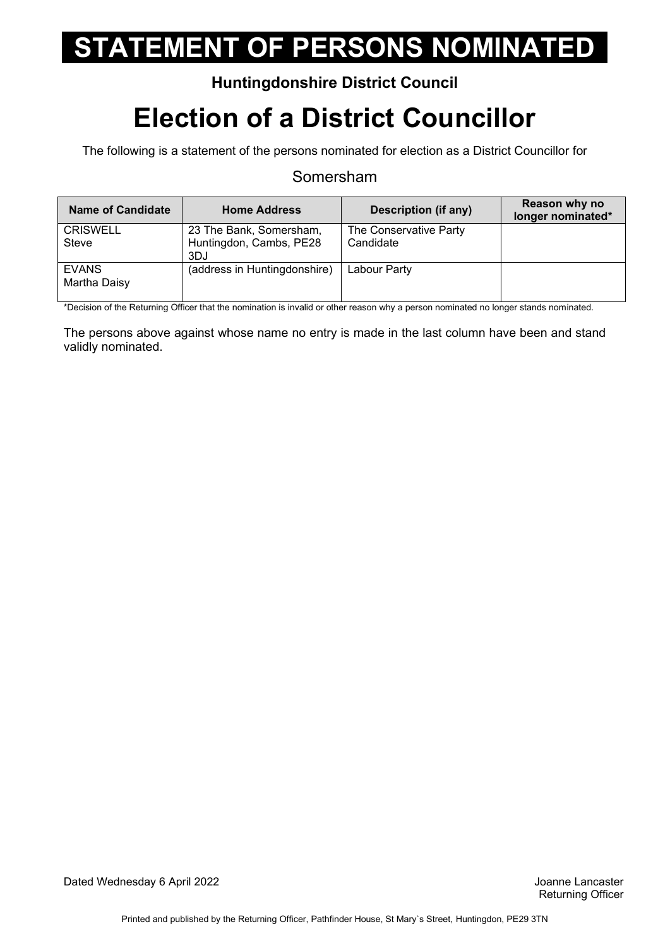#### **Huntingdonshire District Council**

## **Election of a District Councillor**

The following is a statement of the persons nominated for election as a District Councillor for

#### Somersham

| <b>Name of Candidate</b>     | <b>Home Address</b>            | <b>Description (if any)</b> | Reason why no<br>longer nominated* |
|------------------------------|--------------------------------|-----------------------------|------------------------------------|
| <b>CRISWELL</b>              | 23 The Bank, Somersham,        | The Conservative Party      |                                    |
| Steve                        | Huntingdon, Cambs, PE28<br>3DJ | Candidate                   |                                    |
| <b>EVANS</b><br>Martha Daisy | (address in Huntingdonshire)   | Labour Party                |                                    |

\*Decision of the Returning Officer that the nomination is invalid or other reason why a person nominated no longer stands nominated.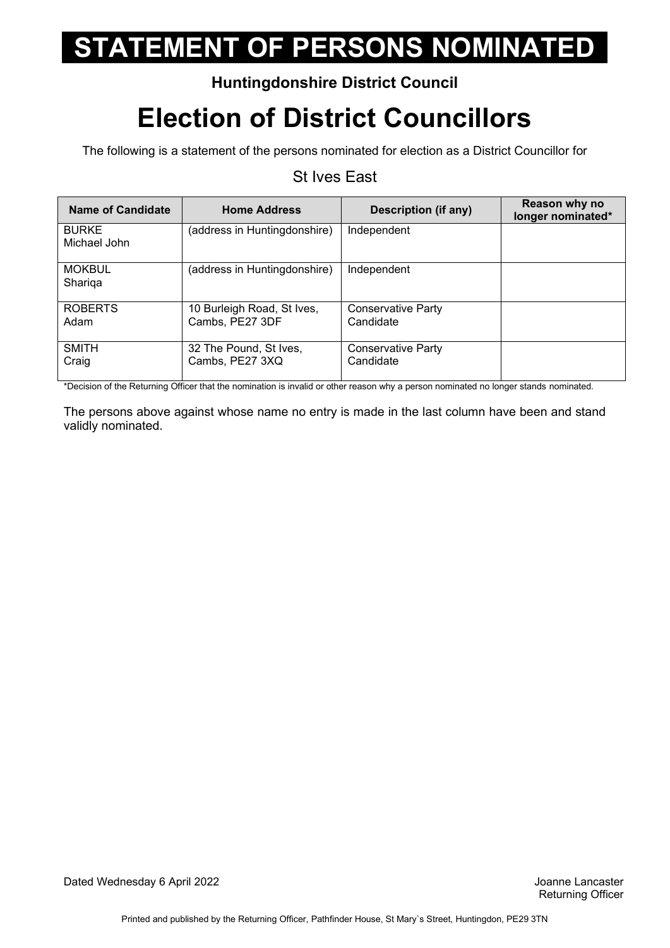### **Huntingdonshire District Council**

## **Election of District Councillors**

The following is a statement of the persons nominated for election as a District Councillor for

#### St Ives East

| Name of Candidate            | <b>Home Address</b>                           | <b>Description (if any)</b>            | Reason why no<br>longer nominated* |
|------------------------------|-----------------------------------------------|----------------------------------------|------------------------------------|
| <b>BURKE</b><br>Michael John | (address in Huntingdonshire)                  | Independent                            |                                    |
| <b>MOKBUL</b><br>Shariga     | (address in Huntingdonshire)                  | Independent                            |                                    |
| <b>ROBERTS</b><br>Adam       | 10 Burleigh Road, St Ives,<br>Cambs, PE27 3DF | <b>Conservative Party</b><br>Candidate |                                    |
| <b>SMITH</b><br>Craig        | 32 The Pound, St Ives,<br>Cambs, PE27 3XQ     | Conservative Party<br>Candidate        |                                    |

\*Decision of the Returning Officer that the nomination is invalid or other reason why a person nominated no longer stands nominated.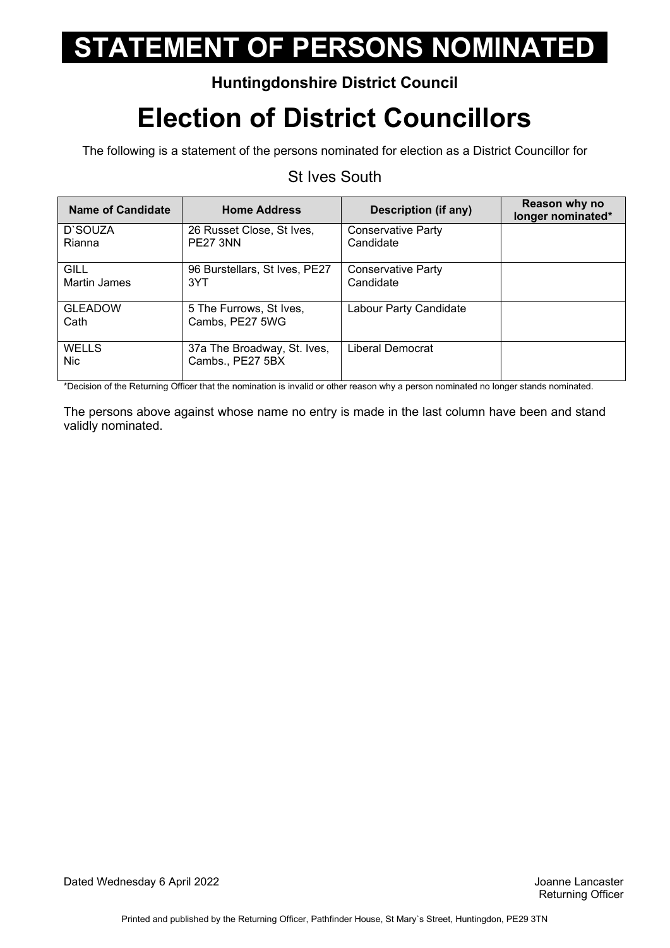### **Huntingdonshire District Council**

## **Election of District Councillors**

The following is a statement of the persons nominated for election as a District Councillor for

### St Ives South

| Name of Candidate           | <b>Home Address</b>                             | Description (if any)                   | Reason why no<br>longer nominated* |
|-----------------------------|-------------------------------------------------|----------------------------------------|------------------------------------|
| D'SOUZA<br>Rianna           | 26 Russet Close, St Ives,<br><b>PE27 3NN</b>    | <b>Conservative Party</b><br>Candidate |                                    |
| GILL<br><b>Martin James</b> | 96 Burstellars, St Ives, PE27<br>3YT            | Conservative Party<br>Candidate        |                                    |
| <b>GLEADOW</b><br>Cath      | 5 The Furrows, St Ives,<br>Cambs, PE27 5WG      | Labour Party Candidate                 |                                    |
| WELLS<br><b>Nic</b>         | 37a The Broadway, St. Ives,<br>Cambs., PE27 5BX | Liberal Democrat                       |                                    |

\*Decision of the Returning Officer that the nomination is invalid or other reason why a person nominated no longer stands nominated.

 The persons above against whose name no entry is made in the last column have been and stand validly nominated.

Dated Wednesday 6 April 2022 Joanne Lancaster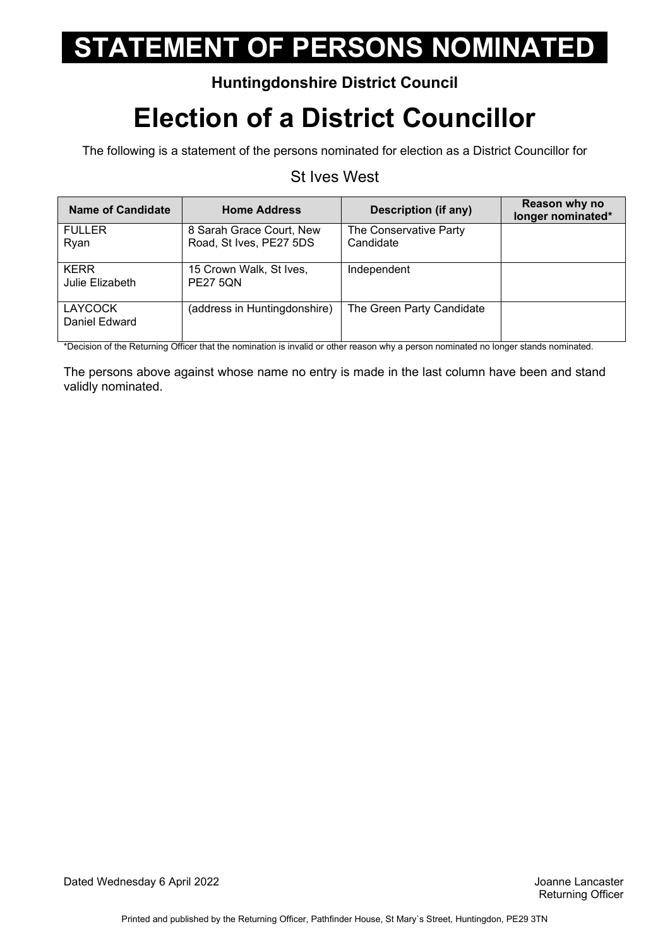#### **Huntingdonshire District Council**

## **Election of a District Councillor**

The following is a statement of the persons nominated for election as a District Councillor for

### St Ives West

| <b>Name of Candidate</b>        | <b>Home Address</b>                        | Description (if any)      | Reason why no<br>longer nominated* |
|---------------------------------|--------------------------------------------|---------------------------|------------------------------------|
| <b>FULLER</b>                   | 8 Sarah Grace Court, New                   | The Conservative Party    |                                    |
| Ryan                            | Road, St Ives, PE27 5DS                    | Candidate                 |                                    |
| <b>KERR</b><br>Julie Elizabeth  | 15 Crown Walk, St Ives,<br><b>PE27 5QN</b> | Independent               |                                    |
| <b>LAYCOCK</b><br>Daniel Edward | (address in Huntingdonshire)               | The Green Party Candidate |                                    |

\*Decision of the Returning Officer that the nomination is invalid or other reason why a person nominated no longer stands nominated.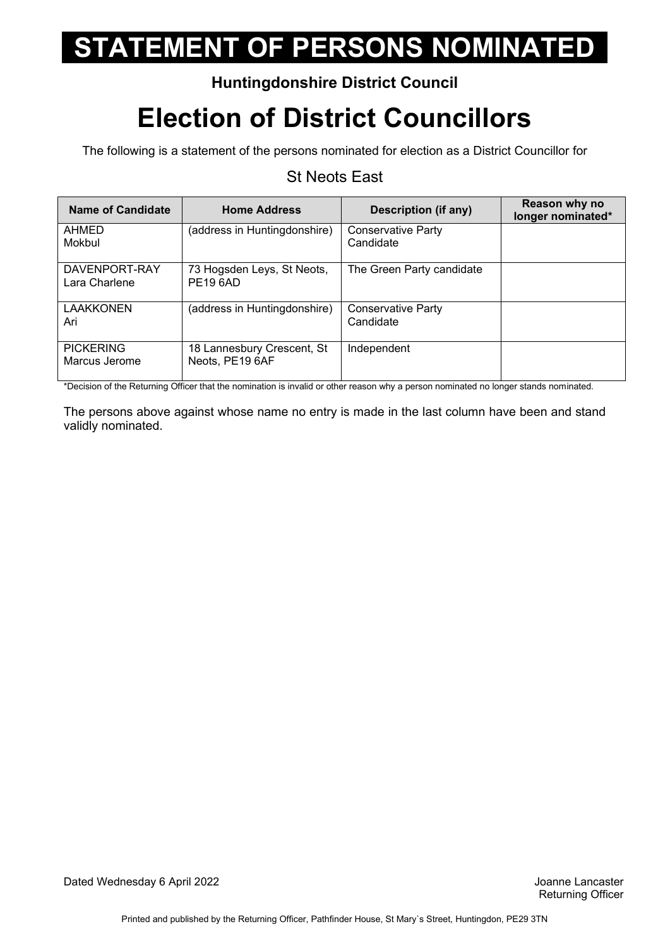### **Huntingdonshire District Council**

## **Election of District Councillors**

The following is a statement of the persons nominated for election as a District Councillor for

### St Neots East

| <b>Name of Candidate</b>          | <b>Home Address</b>                           | <b>Description (if any)</b>            | Reason why no<br>longer nominated* |
|-----------------------------------|-----------------------------------------------|----------------------------------------|------------------------------------|
| AHMED<br>Mokbul                   | (address in Huntingdonshire)                  | <b>Conservative Party</b><br>Candidate |                                    |
| DAVENPORT-RAY<br>Lara Charlene    | 73 Hogsden Leys, St Neots,<br><b>PE196AD</b>  | The Green Party candidate              |                                    |
| <b>LAAKKONEN</b><br>Ari           | (address in Huntingdonshire)                  | <b>Conservative Party</b><br>Candidate |                                    |
| <b>PICKERING</b><br>Marcus Jerome | 18 Lannesbury Crescent, St<br>Neots, PE19 6AF | Independent                            |                                    |

\*Decision of the Returning Officer that the nomination is invalid or other reason why a person nominated no longer stands nominated.

 The persons above against whose name no entry is made in the last column have been and stand validly nominated.

Dated Wednesday 6 April 2022 Joanne Lancaster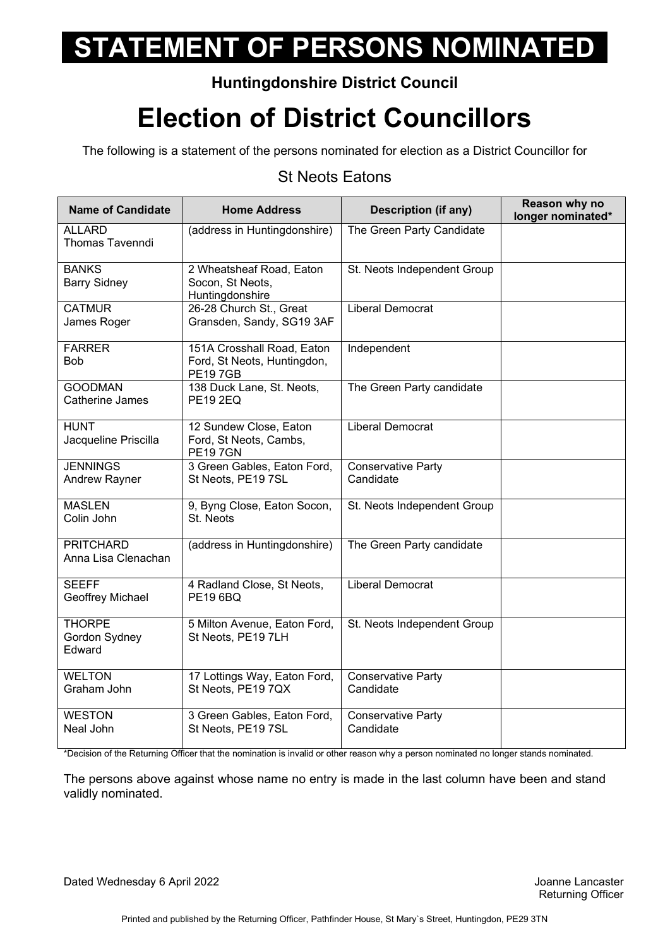### **Huntingdonshire District Council**

### **Election of District Councillors**

The following is a statement of the persons nominated for election as a District Councillor for

### St Neots Eatons

| <b>Name of Candidate</b>                 | <b>Home Address</b>                                                         | <b>Description (if any)</b>            | Reason why no<br>longer nominated* |
|------------------------------------------|-----------------------------------------------------------------------------|----------------------------------------|------------------------------------|
| <b>ALLARD</b><br><b>Thomas Tavenndi</b>  | (address in Huntingdonshire)                                                | The Green Party Candidate              |                                    |
| <b>BANKS</b><br><b>Barry Sidney</b>      | 2 Wheatsheaf Road, Eaton<br>Socon, St Neots,<br>Huntingdonshire             | St. Neots Independent Group            |                                    |
| <b>CATMUR</b><br>James Roger             | 26-28 Church St., Great<br>Gransden, Sandy, SG19 3AF                        | Liberal Democrat                       |                                    |
| <b>FARRER</b><br><b>Bob</b>              | 151A Crosshall Road, Eaton<br>Ford, St Neots, Huntingdon,<br><b>PE197GB</b> | Independent                            |                                    |
| <b>GOODMAN</b><br>Catherine James        | 138 Duck Lane, St. Neots,<br><b>PE19 2EQ</b>                                | The Green Party candidate              |                                    |
| <b>HUNT</b><br>Jacqueline Priscilla      | 12 Sundew Close, Eaton<br>Ford, St Neots, Cambs,<br><b>PE197GN</b>          | <b>Liberal Democrat</b>                |                                    |
| <b>JENNINGS</b><br>Andrew Rayner         | 3 Green Gables, Eaton Ford,<br>St Neots, PE19 7SL                           | <b>Conservative Party</b><br>Candidate |                                    |
| <b>MASLEN</b><br>Colin John              | 9, Byng Close, Eaton Socon,<br>St. Neots                                    | St. Neots Independent Group            |                                    |
| <b>PRITCHARD</b><br>Anna Lisa Clenachan  | (address in Huntingdonshire)                                                | The Green Party candidate              |                                    |
| <b>SEEFF</b><br>Geoffrey Michael         | 4 Radland Close, St Neots,<br><b>PE196BO</b>                                | <b>Liberal Democrat</b>                |                                    |
| <b>THORPE</b><br>Gordon Sydney<br>Edward | 5 Milton Avenue, Eaton Ford,<br>St Neots, PE19 7LH                          | St. Neots Independent Group            |                                    |
| <b>WELTON</b><br>Graham John             | 17 Lottings Way, Eaton Ford,<br>St Neots, PE19 7QX                          | <b>Conservative Party</b><br>Candidate |                                    |
| <b>WESTON</b><br>Neal John               | 3 Green Gables, Eaton Ford,<br>St Neots, PE19 7SL                           | Conservative Party<br>Candidate        |                                    |

\*Decision of the Returning Officer that the nomination is invalid or other reason why a person nominated no longer stands nominated.

 The persons above against whose name no entry is made in the last column have been and stand validly nominated.

Dated Wednesday 6 April 2022 Joanne Lancaster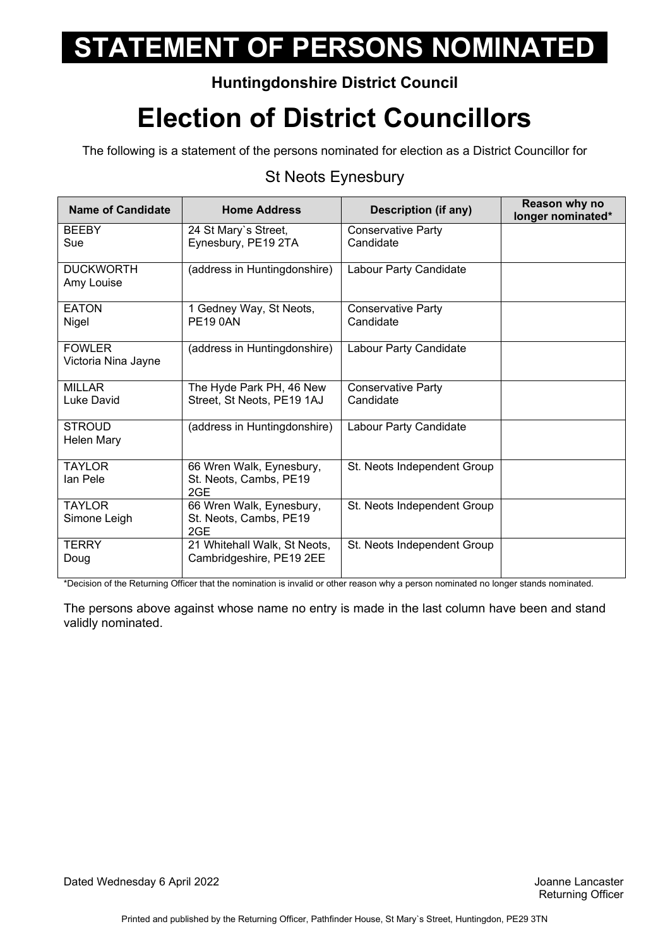### **Huntingdonshire District Council**

## **Election of District Councillors**

The following is a statement of the persons nominated for election as a District Councillor for

### St Neots Eynesbury

| Name of Candidate                    | <b>Home Address</b>                                       | <b>Description (if any)</b>            | Reason why no<br>longer nominated* |
|--------------------------------------|-----------------------------------------------------------|----------------------------------------|------------------------------------|
| <b>BEEBY</b><br>Sue                  | 24 St Mary's Street,<br>Eynesbury, PE19 2TA               | <b>Conservative Party</b><br>Candidate |                                    |
| <b>DUCKWORTH</b><br>Amy Louise       | (address in Huntingdonshire)                              | Labour Party Candidate                 |                                    |
| <b>EATON</b><br>Nigel                | 1 Gedney Way, St Neots,<br><b>PE190AN</b>                 | <b>Conservative Party</b><br>Candidate |                                    |
| <b>FOWLER</b><br>Victoria Nina Jayne | (address in Huntingdonshire)                              | Labour Party Candidate                 |                                    |
| <b>MILLAR</b><br>Luke David          | The Hyde Park PH, 46 New<br>Street, St Neots, PE19 1AJ    | <b>Conservative Party</b><br>Candidate |                                    |
| <b>STROUD</b><br><b>Helen Mary</b>   | (address in Huntingdonshire)                              | Labour Party Candidate                 |                                    |
| <b>TAYLOR</b><br>lan Pele            | 66 Wren Walk, Eynesbury,<br>St. Neots, Cambs, PE19<br>2GE | St. Neots Independent Group            |                                    |
| <b>TAYLOR</b><br>Simone Leigh        | 66 Wren Walk, Eynesbury,<br>St. Neots, Cambs, PE19<br>2GE | St. Neots Independent Group            |                                    |
| <b>TERRY</b><br>Doug                 | 21 Whitehall Walk, St Neots,<br>Cambridgeshire, PE19 2EE  | St. Neots Independent Group            |                                    |

\*Decision of the Returning Officer that the nomination is invalid or other reason why a person nominated no longer stands nominated.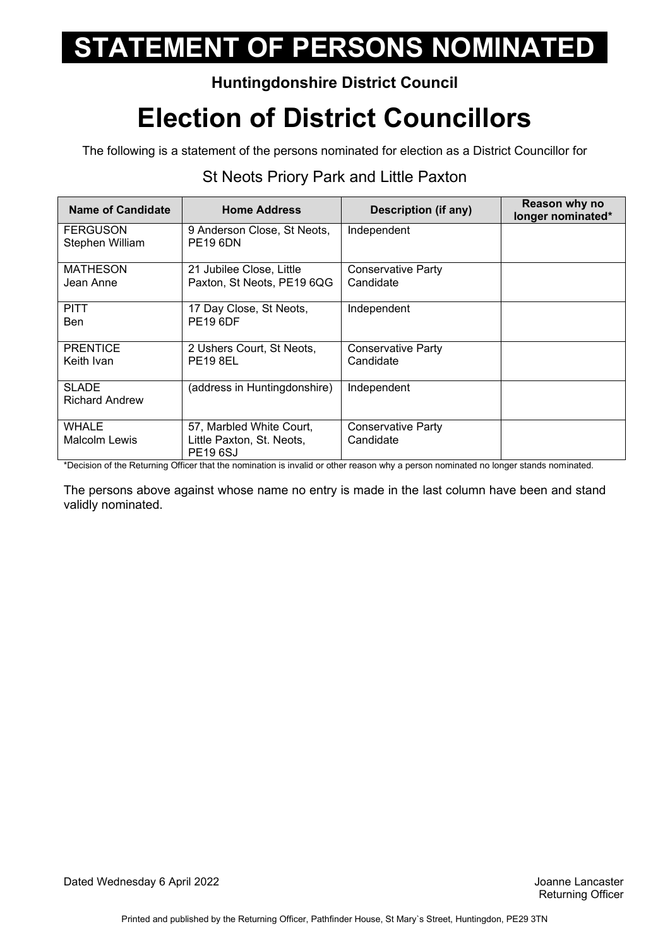### **Huntingdonshire District Council**

## **Election of District Councillors**

The following is a statement of the persons nominated for election as a District Councillor for

| <b>Name of Candidate</b>           | <b>Home Address</b>                                                     | <b>Description (if any)</b>            | Reason why no<br>longer nominated* |
|------------------------------------|-------------------------------------------------------------------------|----------------------------------------|------------------------------------|
| <b>FERGUSON</b><br>Stephen William | 9 Anderson Close, St Neots,<br><b>PE19 6DN</b>                          | Independent                            |                                    |
| <b>MATHESON</b><br>Jean Anne       | 21 Jubilee Close, Little<br>Paxton, St Neots, PE19 6QG                  | <b>Conservative Party</b><br>Candidate |                                    |
| <b>PITT</b><br>Ben                 | 17 Day Close, St Neots,<br><b>PE19 6DF</b>                              | Independent                            |                                    |
| <b>PRENTICE</b><br>Keith Ivan      | 2 Ushers Court, St Neots,<br><b>PE19 8EL</b>                            | <b>Conservative Party</b><br>Candidate |                                    |
| SLADE<br><b>Richard Andrew</b>     | (address in Huntingdonshire)                                            | Independent                            |                                    |
| <b>WHALE</b><br>Malcolm Lewis      | 57, Marbled White Court,<br>Little Paxton, St. Neots,<br><b>PE196SJ</b> | <b>Conservative Party</b><br>Candidate |                                    |

### St Neots Priory Park and Little Paxton

\*Decision of the Returning Officer that the nomination is invalid or other reason why a person nominated no longer stands nominated.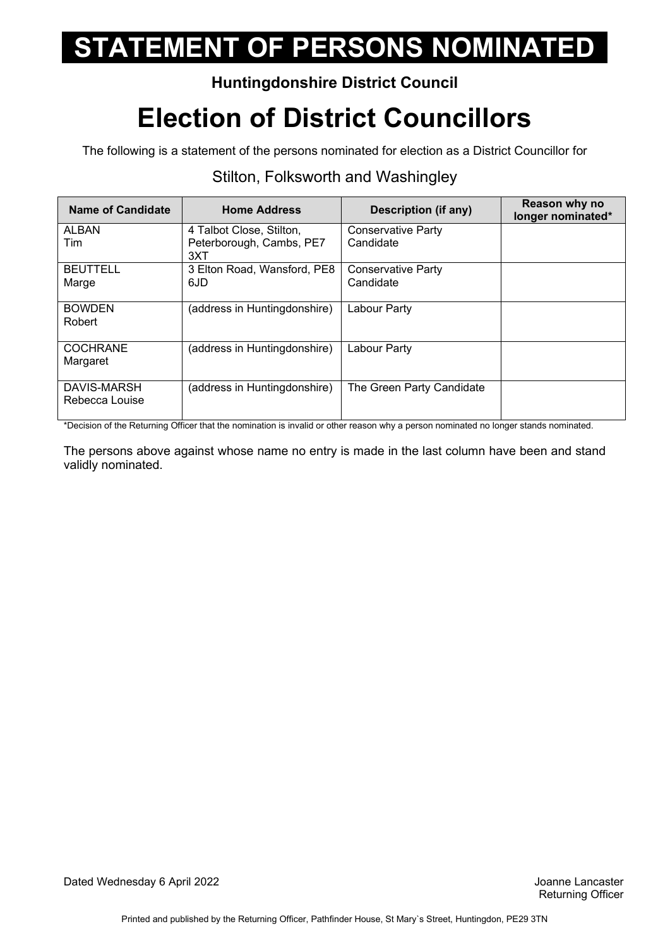### **Huntingdonshire District Council**

## **Election of District Councillors**

The following is a statement of the persons nominated for election as a District Councillor for

| <b>Name of Candidate</b>      | <b>Home Address</b>                                         | <b>Description (if any)</b>            | Reason why no<br>longer nominated* |
|-------------------------------|-------------------------------------------------------------|----------------------------------------|------------------------------------|
| ALBAN<br>Tim                  | 4 Talbot Close, Stilton,<br>Peterborough, Cambs, PE7<br>3XT | <b>Conservative Party</b><br>Candidate |                                    |
| <b>BEUTTELL</b><br>Marge      | 3 Elton Road, Wansford, PE8<br>6JD                          | Conservative Party<br>Candidate        |                                    |
| <b>BOWDEN</b><br>Robert       | (address in Huntingdonshire)                                | Labour Party                           |                                    |
| <b>COCHRANE</b><br>Margaret   | (address in Huntingdonshire)                                | Labour Party                           |                                    |
| DAVIS-MARSH<br>Rebecca Louise | (address in Huntingdonshire)                                | The Green Party Candidate              |                                    |

#### Stilton, Folksworth and Washingley

\*Decision of the Returning Officer that the nomination is invalid or other reason why a person nominated no longer stands nominated.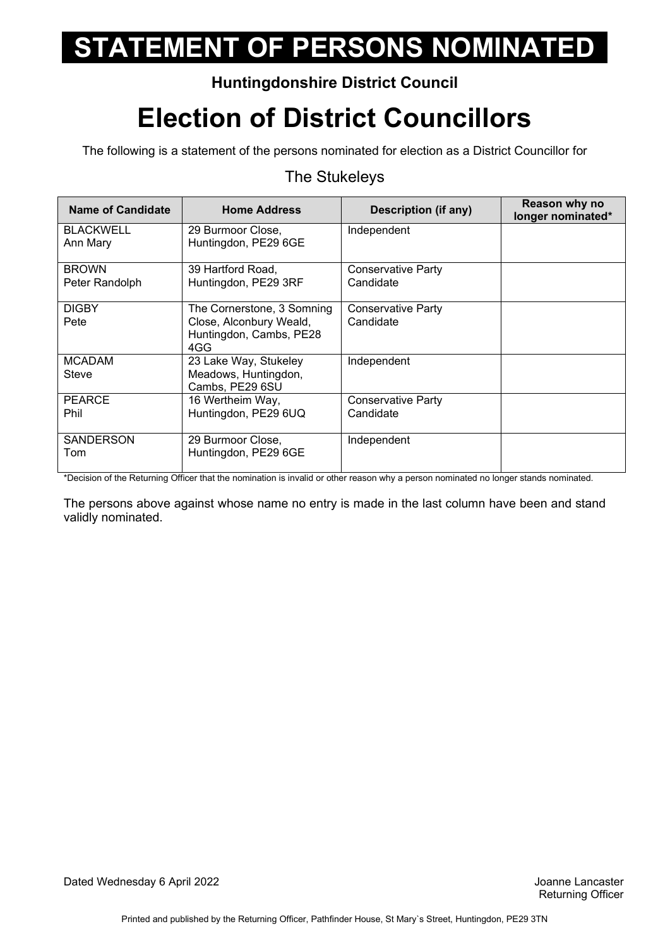### **Huntingdonshire District Council**

## **Election of District Councillors**

The following is a statement of the persons nominated for election as a District Councillor for

#### The Stukeleys

| <b>Name of Candidate</b>       | <b>Home Address</b>                                                                     | <b>Description (if any)</b>            | Reason why no<br>longer nominated* |
|--------------------------------|-----------------------------------------------------------------------------------------|----------------------------------------|------------------------------------|
| <b>BLACKWELL</b><br>Ann Mary   | 29 Burmoor Close,<br>Huntingdon, PE29 6GE                                               | Independent                            |                                    |
| <b>BROWN</b><br>Peter Randolph | 39 Hartford Road.<br>Huntingdon, PE29 3RF                                               | <b>Conservative Party</b><br>Candidate |                                    |
| <b>DIGBY</b><br>Pete           | The Cornerstone, 3 Somning<br>Close, Alconbury Weald,<br>Huntingdon, Cambs, PE28<br>4GG | <b>Conservative Party</b><br>Candidate |                                    |
| <b>MCADAM</b><br>Steve         | 23 Lake Way, Stukeley<br>Meadows, Huntingdon,<br>Cambs, PE29 6SU                        | Independent                            |                                    |
| <b>PEARCE</b><br>Phil          | 16 Wertheim Way,<br>Huntingdon, PE29 6UQ                                                | <b>Conservative Party</b><br>Candidate |                                    |
| <b>SANDERSON</b><br>Tom        | 29 Burmoor Close,<br>Huntingdon, PE29 6GE                                               | Independent                            |                                    |

\*Decision of the Returning Officer that the nomination is invalid or other reason why a person nominated no longer stands nominated.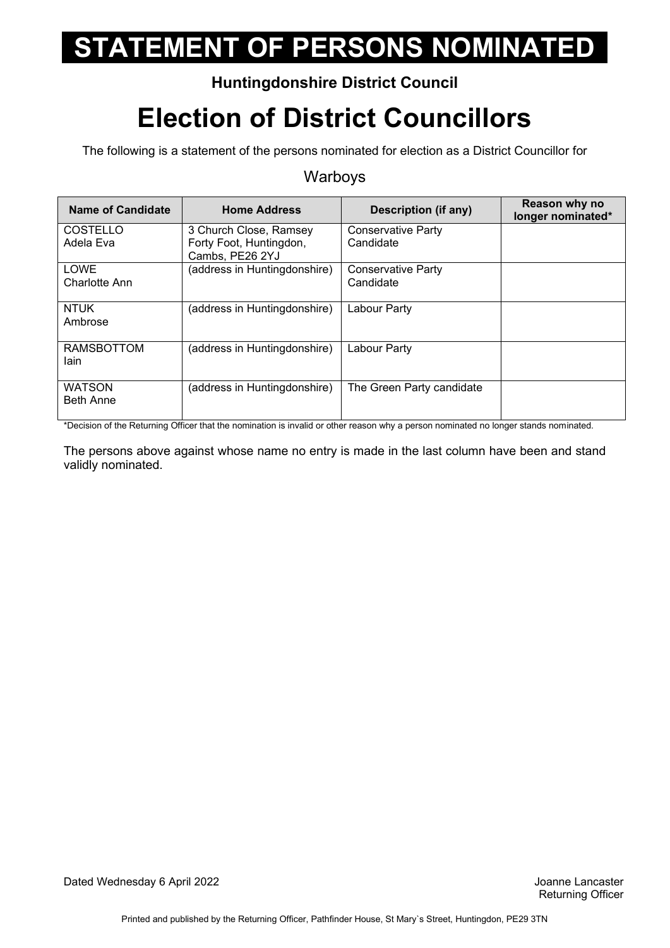### **Huntingdonshire District Council**

## **Election of District Councillors**

The following is a statement of the persons nominated for election as a District Councillor for

#### Warboys

| <b>Name of Candidate</b>            | <b>Home Address</b>                                                  | <b>Description (if any)</b>            | Reason why no<br>longer nominated* |
|-------------------------------------|----------------------------------------------------------------------|----------------------------------------|------------------------------------|
| COSTELLO<br>Adela Eva               | 3 Church Close, Ramsey<br>Forty Foot, Huntingdon,<br>Cambs, PE26 2YJ | <b>Conservative Party</b><br>Candidate |                                    |
| <b>LOWE</b><br><b>Charlotte Ann</b> | (address in Huntingdonshire)                                         | <b>Conservative Party</b><br>Candidate |                                    |
| <b>NTUK</b><br>Ambrose              | (address in Huntingdonshire)                                         | Labour Party                           |                                    |
| <b>RAMSBOTTOM</b><br>lain.          | (address in Huntingdonshire)                                         | Labour Party                           |                                    |
| <b>WATSON</b><br><b>Beth Anne</b>   | (address in Huntingdonshire)                                         | The Green Party candidate              |                                    |

\*Decision of the Returning Officer that the nomination is invalid or other reason why a person nominated no longer stands nominated.